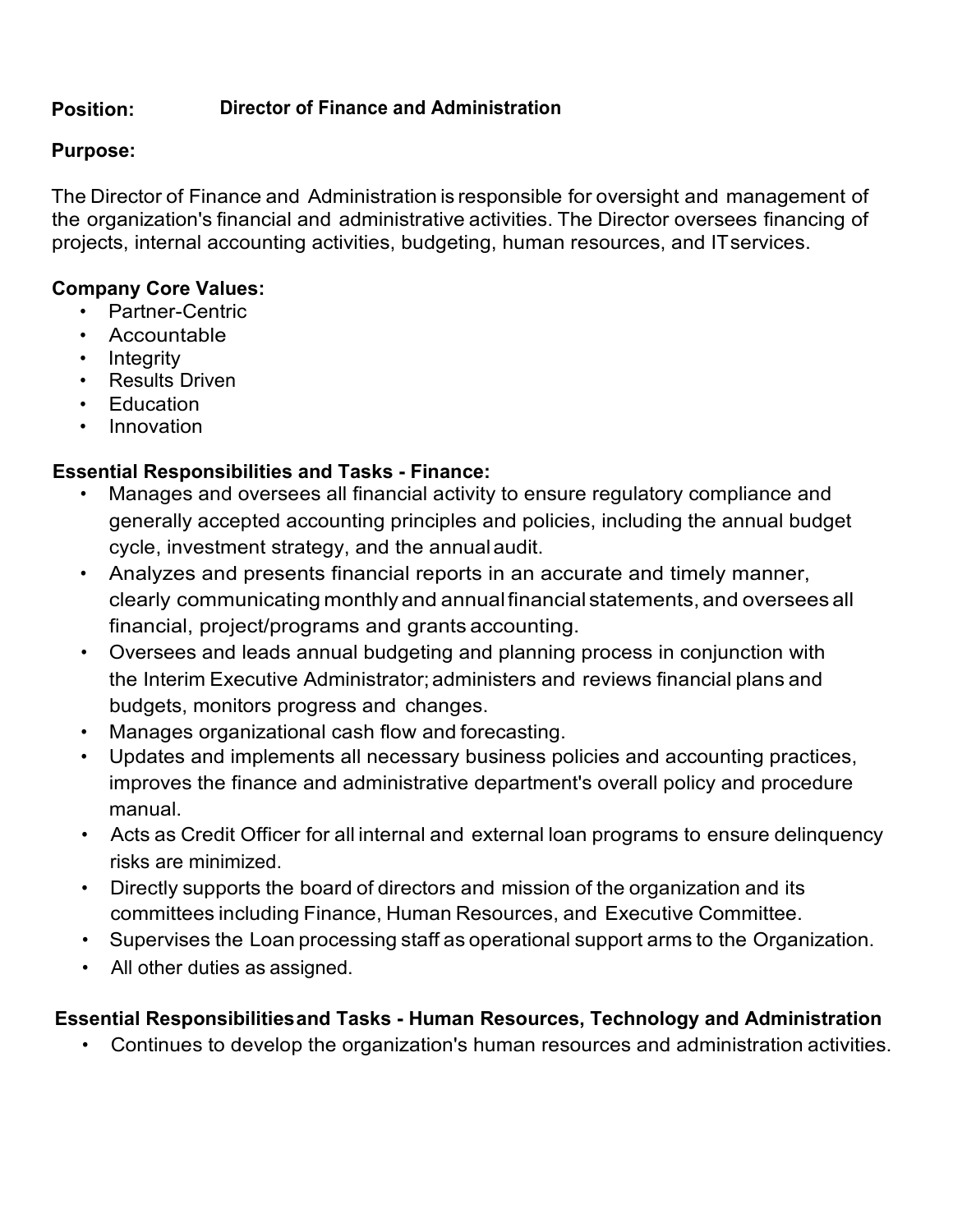#### **Position: Director of Finance and Administration**

## **Purpose:**

The Director of Finance and Administration is responsible for oversight and management of the organization's financial and administrative activities. The Director oversees financing of projects, internal accounting activities, budgeting, human resources, and ITservices.

## **Company Core Values:**

- Partner-Centric
- Accountable
- Integrity
- Results Driven
- Education
- Innovation

# **Essential Responsibilities and Tasks - Finance:**

- Manages and oversees all financial activity to ensure regulatory compliance and generally accepted accounting principles and policies, including the annual budget cycle, investment strategy, and the annualaudit.
- Analyzes and presents financial reports in an accurate and timely manner, clearly communicating monthlyand annualfinancial statements, and oversees all financial, project/programs and grants accounting.
- Oversees and leads annual budgeting and planning process in conjunction with the Interim Executive Administrator;administers and reviews financial plans and budgets, monitors progress and changes.
- Manages organizational cash flow and forecasting.
- Updates and implements all necessary business policies and accounting practices, improves the finance and administrative department's overall policy and procedure manual.
- Acts as Credit Officer for all internal and external loan programs to ensure delinquency risks are minimized.
- Directly supports the board of directors and mission of the organization and its committees including Finance, Human Resources, and Executive Committee.
- Supervises the Loan processing staff as operational support arms to the Organization.
- All other duties as assigned.

# **Essential Responsibilitiesand Tasks - Human Resources, Technology and Administration**

• Continues to develop the organization's human resources and administration activities.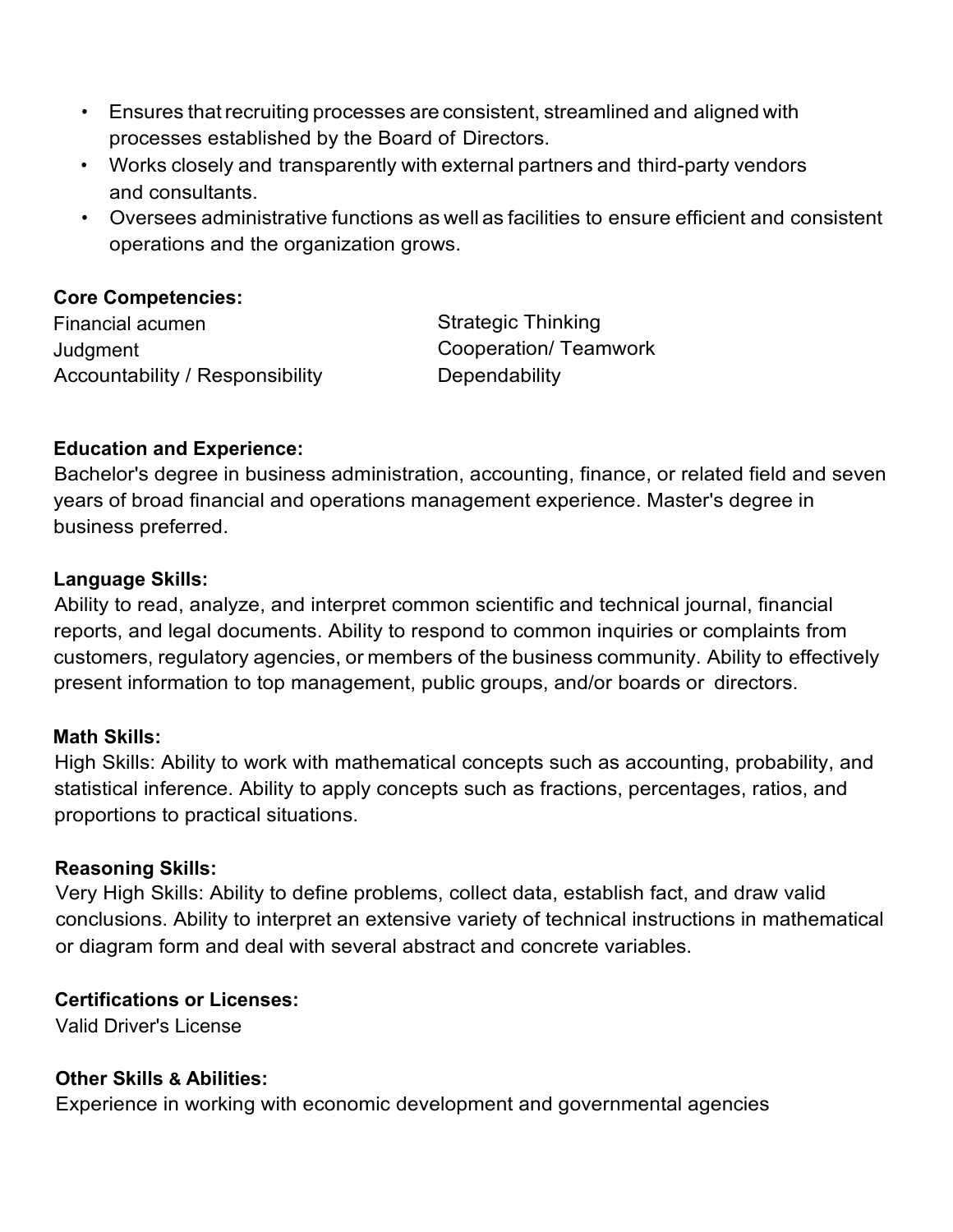- Ensures that recruiting processes are consistent, streamlined and aligned with processes established by the Board of Directors.
- Works closely and transparently with external partners and third-party vendors and consultants.
- Oversees administrative functions as well as facilities to ensure efficient and consistent operations and the organization grows.

## **Core Competencies:**

Financial acumen **Judgment** Accountability / Responsibility Strategic Thinking Cooperation/ Teamwork **Dependability** 

# **Education and Experience:**

Bachelor's degree in business administration, accounting, finance, or related field and seven years of broad financial and operations management experience. Master's degree in business preferred.

### **Language Skills:**

Ability to read, analyze, and interpret common scientific and technical journal, financial reports, and legal documents. Ability to respond to common inquiries or complaints from customers, regulatory agencies, or members of the business community. Ability to effectively present information to top management, public groups, and/or boards or directors.

### **Math Skills:**

High Skills: Ability to work with mathematical concepts such as accounting, probability, and statistical inference. Ability to apply concepts such as fractions, percentages, ratios, and proportions to practical situations.

#### **Reasoning Skills:**

Very High Skills: Ability to define problems, collect data, establish fact, and draw valid conclusions. Ability to interpret an extensive variety of technical instructions in mathematical or diagram form and deal with several abstract and concrete variables.

### **Certifications or Licenses:**

Valid Driver's License

### **Other Skills & Abilities:**

Experience in working with economic development and governmental agencies